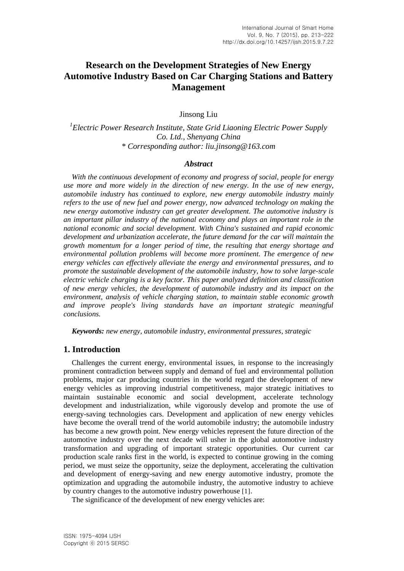# **Research on the Development Strategies of New Energy Automotive Industry Based on Car Charging Stations and Battery Management**

Jinsong Liu

*1 Electric Power Research Institute, State Grid Liaoning Electric Power Supply Co. Ltd., Shenyang China \* Corresponding author: liu.jinsong@163.com*

#### *Abstract*

*With the continuous development of economy and progress of social, people for energy use more and more widely in the direction of new energy. In the use of new energy, automobile industry has continued to explore, new energy automobile industry mainly refers to the use of new fuel and power energy, now advanced technology on making the new energy automotive industry can get greater development. The automotive industry is an important pillar industry of the national economy and plays an important role in the national economic and social development. With China's sustained and rapid economic development and urbanization accelerate, the future demand for the car will maintain the growth momentum for a longer period of time, the resulting that energy shortage and environmental pollution problems will become more prominent. The emergence of new energy vehicles can effectively alleviate the energy and environmental pressures, and to promote the sustainable development of the automobile industry, how to solve large-scale electric vehicle charging is a key factor. This paper analyzed definition and classification of new energy vehicles, the development of automobile industry and its impact on the environment, analysis of vehicle charging station, to maintain stable economic growth and improve people's living standards have an important strategic meaningful conclusions.*

*Keywords: new energy, automobile industry, environmental pressures, strategic*

#### **1. Introduction**

Challenges the current energy, environmental issues, in response to the increasingly prominent contradiction between supply and demand of fuel and environmental pollution problems, major car producing countries in the world regard the development of new energy vehicles as improving industrial competitiveness, major strategic initiatives to maintain sustainable economic and social development, accelerate technology development and industrialization, while vigorously develop and promote the use of energy-saving technologies cars. Development and application of new energy vehicles have become the overall trend of the world automobile industry; the automobile industry has become a new growth point. New energy vehicles represent the future direction of the automotive industry over the next decade will usher in the global automotive industry transformation and upgrading of important strategic opportunities. Our current car production scale ranks first in the world, is expected to continue growing in the coming period, we must seize the opportunity, seize the deployment, accelerating the cultivation and development of energy-saving and new energy automotive industry, promote the optimization and upgrading the automobile industry, the automotive industry to achieve by country changes to the automotive industry powerhouse [1].

The significance of the development of new energy vehicles are: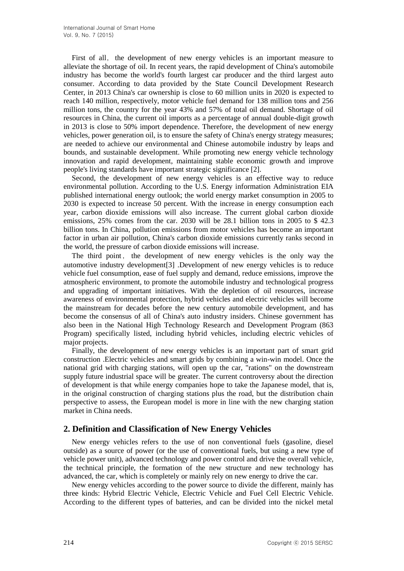First of all, the development of new energy vehicles is an important measure to alleviate the shortage of oil. In recent years, the rapid development of China's automobile industry has become the world's fourth largest car producer and the third largest auto consumer. According to data provided by the State Council Development Research Center, in 2013 China's car ownership is close to 60 million units in 2020 is expected to reach 140 million, respectively, motor vehicle fuel demand for 138 million tons and 256 million tons, the country for the year 43% and 57% of total oil demand. Shortage of oil resources in China, the current oil imports as a percentage of annual double-digit growth in 2013 is close to 50% import dependence. Therefore, the development of new energy vehicles, power generation oil, is to ensure the safety of China's energy strategy measures; are needed to achieve our environmental and Chinese automobile industry by leaps and bounds, and sustainable development. While promoting new energy vehicle technology innovation and rapid development, maintaining stable economic growth and improve people's living standards have important strategic significance [2].

Second, the development of new energy vehicles is an effective way to reduce environmental pollution. According to the U.S. Energy information Administration EIA published international energy outlook; the world energy market consumption in 2005 to 2030 is expected to increase 50 percent. With the increase in energy consumption each year, carbon dioxide emissions will also increase. The current global carbon dioxide emissions, 25% comes from the car. 2030 will be 28.1 billion tons in 2005 to \$ 42.3 billion tons. In China, pollution emissions from motor vehicles has become an important factor in urban air pollution, China's carbon dioxide emissions currently ranks second in the world, the pressure of carbon dioxide emissions will increase.

The third point, the development of new energy vehicles is the only way the automotive industry development[3] .Development of new energy vehicles is to reduce vehicle fuel consumption, ease of fuel supply and demand, reduce emissions, improve the atmospheric environment, to promote the automobile industry and technological progress and upgrading of important initiatives. With the depletion of oil resources, increase awareness of environmental protection, hybrid vehicles and electric vehicles will become the mainstream for decades before the new century automobile development, and has become the consensus of all of China's auto industry insiders. Chinese government has also been in the National High Technology Research and Development Program (863 Program) specifically listed, including hybrid vehicles, including electric vehicles of major projects.

Finally, the development of new energy vehicles is an important part of smart grid construction .Electric vehicles and smart grids by combining a win-win model. Once the national grid with charging stations, will open up the car, "rations" on the downstream supply future industrial space will be greater. The current controversy about the direction of development is that while energy companies hope to take the Japanese model, that is, in the original construction of charging stations plus the road, but the distribution chain perspective to assess, the European model is more in line with the new charging station market in China needs.

### **2. Definition and Classification of New Energy Vehicles**

New energy vehicles refers to the use of non conventional fuels (gasoline, diesel outside) as a source of power (or the use of conventional fuels, but using a new type of vehicle power unit), advanced technology and power control and drive the overall vehicle, the technical principle, the formation of the new structure and new technology has advanced, the car, which is completely or mainly rely on new energy to drive the car.

New energy vehicles according to the power source to divide the different, mainly has three kinds: Hybrid Electric Vehicle, Electric Vehicle and Fuel Cell Electric Vehicle. According to the different types of batteries, and can be divided into the nickel metal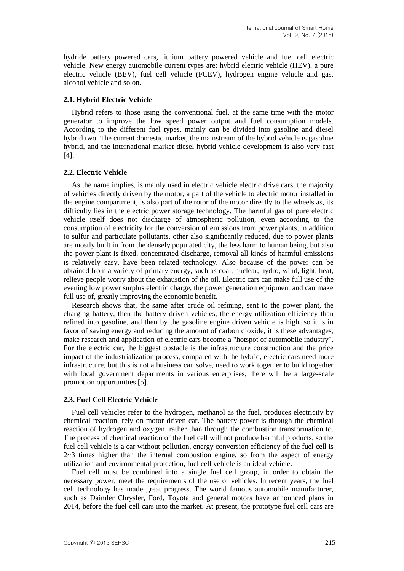hydride battery powered cars, lithium battery powered vehicle and fuel cell electric vehicle. New energy automobile current types are: hybrid electric vehicle (HEV), a pure electric vehicle (BEV), fuel cell vehicle (FCEV), hydrogen engine vehicle and gas, alcohol vehicle and so on.

#### **2.1. Hybrid Electric Vehicle**

Hybrid refers to those using the conventional fuel, at the same time with the motor generator to improve the low speed power output and fuel consumption models. According to the different fuel types, mainly can be divided into gasoline and diesel hybrid two. The current domestic market, the mainstream of the hybrid vehicle is gasoline hybrid, and the international market diesel hybrid vehicle development is also very fast [4].

#### **2.2. Electric Vehicle**

As the name implies, is mainly used in electric vehicle electric drive cars, the majority of vehicles directly driven by the motor, a part of the vehicle to electric motor installed in the engine compartment, is also part of the rotor of the motor directly to the wheels as, its difficulty lies in the electric power storage technology. The harmful gas of pure electric vehicle itself does not discharge of atmospheric pollution, even according to the consumption of electricity for the conversion of emissions from power plants, in addition to sulfur and particulate pollutants, other also significantly reduced, due to power plants are mostly built in from the densely populated city, the less harm to human being, but also the power plant is fixed, concentrated discharge, removal all kinds of harmful emissions is relatively easy, have been related technology. Also because of the power can be obtained from a variety of primary energy, such as coal, nuclear, hydro, wind, light, heat, relieve people worry about the exhaustion of the oil. Electric cars can make full use of the evening low power surplus electric charge, the power generation equipment and can make full use of, greatly improving the economic benefit.

Research shows that, the same after crude oil refining, sent to the power plant, the charging battery, then the battery driven vehicles, the energy utilization efficiency than refined into gasoline, and then by the gasoline engine driven vehicle is high, so it is in favor of saving energy and reducing the amount of carbon dioxide, it is these advantages, make research and application of electric cars become a "hotspot of automobile industry". For the electric car, the biggest obstacle is the infrastructure construction and the price impact of the industrialization process, compared with the hybrid, electric cars need more infrastructure, but this is not a business can solve, need to work together to build together with local government departments in various enterprises, there will be a large-scale promotion opportunities [5].

#### **2.3. Fuel Cell Electric Vehicle**

Fuel cell vehicles refer to the hydrogen, methanol as the fuel, produces electricity by chemical reaction, rely on motor driven car. The battery power is through the chemical reaction of hydrogen and oxygen, rather than through the combustion transformation to. The process of chemical reaction of the fuel cell will not produce harmful products, so the fuel cell vehicle is a car without pollution, energy conversion efficiency of the fuel cell is  $2~3$  times higher than the internal combustion engine, so from the aspect of energy utilization and environmental protection, fuel cell vehicle is an ideal vehicle.

Fuel cell must be combined into a single fuel cell group, in order to obtain the necessary power, meet the requirements of the use of vehicles. In recent years, the fuel cell technology has made great progress. The world famous automobile manufacturer, such as Daimler Chrysler, Ford, Toyota and general motors have announced plans in 2014, before the fuel cell cars into the market. At present, the prototype fuel cell cars are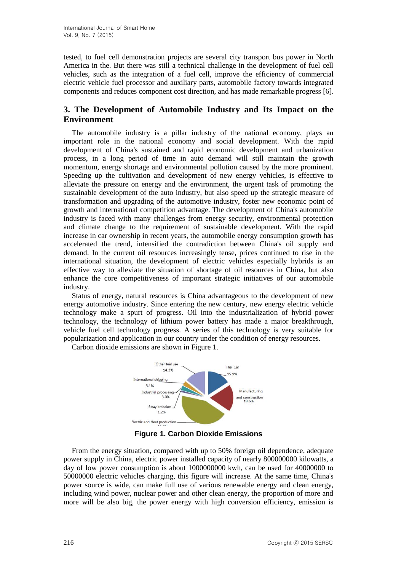tested, to fuel cell demonstration projects are several city transport bus power in North America in the. But there was still a technical challenge in the development of fuel cell vehicles, such as the integration of a fuel cell, improve the efficiency of commercial electric vehicle fuel processor and auxiliary parts, automobile factory towards integrated components and reduces component cost direction, and has made remarkable progress [6].

## **3. The Development of Automobile Industry and Its Impact on the Environment**

The automobile industry is a pillar industry of the national economy, plays an important role in the national economy and social development. With the rapid development of China's sustained and rapid economic development and urbanization process, in a long period of time in auto demand will still maintain the growth momentum, energy shortage and environmental pollution caused by the more prominent. Speeding up the cultivation and development of new energy vehicles, is effective to alleviate the pressure on energy and the environment, the urgent task of promoting the sustainable development of the auto industry, but also speed up the strategic measure of transformation and upgrading of the automotive industry, foster new economic point of growth and international competition advantage. The development of China's automobile industry is faced with many challenges from energy security, environmental protection and climate change to the requirement of sustainable development. With the rapid increase in car ownership in recent years, the automobile energy consumption growth has accelerated the trend, intensified the contradiction between China's oil supply and demand. In the current oil resources increasingly tense, prices continued to rise in the international situation, the development of electric vehicles especially hybrids is an effective way to alleviate the situation of shortage of oil resources in China, but also enhance the core competitiveness of important strategic initiatives of our automobile industry.

Status of energy, natural resources is China advantageous to the development of new energy automotive industry. Since entering the new century, new energy electric vehicle technology make a spurt of progress. Oil into the industrialization of hybrid power technology, the technology of lithium power battery has made a major breakthrough, vehicle fuel cell technology progress. A series of this technology is very suitable for popularization and application in our country under the condition of energy resources.



Carbon dioxide emissions are shown in Figure 1.

**Figure 1. Carbon Dioxide Emissions**

From the energy situation, compared with up to 50% foreign oil dependence, adequate power supply in China, electric power installed capacity of nearly 800000000 kilowatts, a day of low power consumption is about 1000000000 kwh, can be used for 40000000 to 50000000 electric vehicles charging, this figure will increase. At the same time, China's power source is wide, can make full use of various renewable energy and clean energy, including wind power, nuclear power and other clean energy, the proportion of more and more will be also big, the power energy with high conversion efficiency, emission is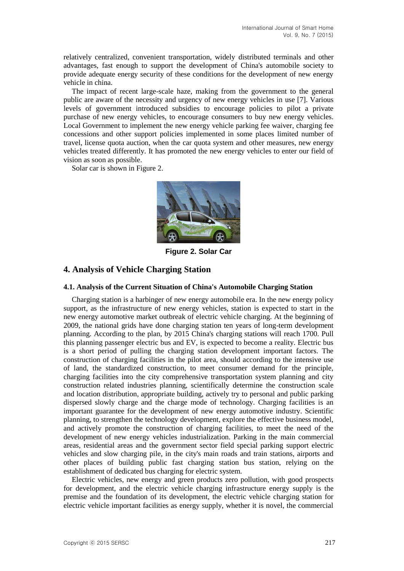relatively centralized, convenient transportation, widely distributed terminals and other advantages, fast enough to support the development of China's automobile society to provide adequate energy security of these conditions for the development of new energy vehicle in china.

The impact of recent large-scale haze, making from the government to the general public are aware of the necessity and urgency of new energy vehicles in use [7]. Various levels of government introduced subsidies to encourage policies to pilot a private purchase of new energy vehicles, to encourage consumers to buy new energy vehicles. Local Government to implement the new energy vehicle parking fee waiver, charging fee concessions and other support policies implemented in some places limited number of travel, license quota auction, when the car quota system and other measures, new energy vehicles treated differently. It has promoted the new energy vehicles to enter our field of vision as soon as possible.

Solar car is shown in Figure 2.



**Figure 2. Solar Car**

## **4. Analysis of Vehicle Charging Station**

#### **4.1. Analysis of the Current Situation of China's Automobile Charging Station**

Charging station is a harbinger of new energy automobile era. In the new energy policy support, as the infrastructure of new energy vehicles, station is expected to start in the new energy automotive market outbreak of electric vehicle charging. At the beginning of 2009, the national grids have done charging station ten years of long-term development planning. According to the plan, by 2015 China's charging stations will reach 1700. Pull this planning passenger electric bus and EV, is expected to become a reality. Electric bus is a short period of pulling the charging station development important factors. The construction of charging facilities in the pilot area, should according to the intensive use of land, the standardized construction, to meet consumer demand for the principle, charging facilities into the city comprehensive transportation system planning and city construction related industries planning, scientifically determine the construction scale and location distribution, appropriate building, actively try to personal and public parking dispersed slowly charge and the charge mode of technology. Charging facilities is an important guarantee for the development of new energy automotive industry. Scientific planning, to strengthen the technology development, explore the effective business model, and actively promote the construction of charging facilities, to meet the need of the development of new energy vehicles industrialization. Parking in the main commercial areas, residential areas and the government sector field special parking support electric vehicles and slow charging pile, in the city's main roads and train stations, airports and other places of building public fast charging station bus station, relying on the establishment of dedicated bus charging for electric system.

Electric vehicles, new energy and green products zero pollution, with good prospects for development, and the electric vehicle charging infrastructure energy supply is the premise and the foundation of its development, the electric vehicle charging station for electric vehicle important facilities as energy supply, whether it is novel, the commercial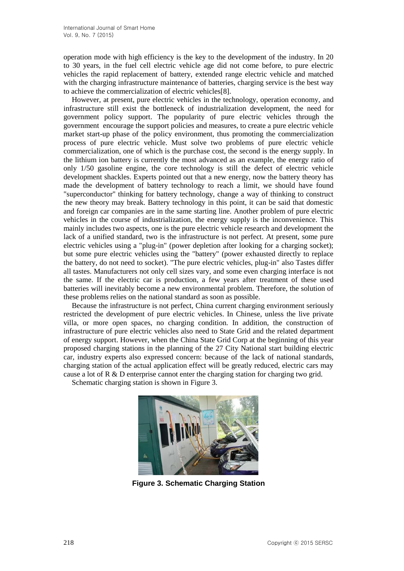operation mode with high efficiency is the key to the development of the industry. In 20 to 30 years, in the fuel cell electric vehicle age did not come before, to pure electric vehicles the rapid replacement of battery, extended range electric vehicle and matched with the charging infrastructure maintenance of batteries, charging service is the best way to achieve the commercialization of electric vehicles[8].

However, at present, pure electric vehicles in the technology, operation economy, and infrastructure still exist the bottleneck of industrialization development, the need for government policy support. The popularity of pure electric vehicles through the government encourage the support policies and measures, to create a pure electric vehicle market start-up phase of the policy environment, thus promoting the commercialization process of pure electric vehicle. Must solve two problems of pure electric vehicle commercialization, one of which is the purchase cost, the second is the energy supply. In the lithium ion battery is currently the most advanced as an example, the energy ratio of only 1/50 gasoline engine, the core technology is still the defect of electric vehicle development shackles. Experts pointed out that a new energy, now the battery theory has made the development of battery technology to reach a limit, we should have found "superconductor" thinking for battery technology, change a way of thinking to construct the new theory may break. Battery technology in this point, it can be said that domestic and foreign car companies are in the same starting line. Another problem of pure electric vehicles in the course of industrialization, the energy supply is the inconvenience. This mainly includes two aspects, one is the pure electric vehicle research and development the lack of a unified standard, two is the infrastructure is not perfect. At present, some pure electric vehicles using a "plug-in" (power depletion after looking for a charging socket); but some pure electric vehicles using the "battery" (power exhausted directly to replace the battery, do not need to socket). "The pure electric vehicles, plug-in" also Tastes differ all tastes. Manufacturers not only cell sizes vary, and some even charging interface is not the same. If the electric car is production, a few years after treatment of these used batteries will inevitably become a new environmental problem. Therefore, the solution of these problems relies on the national standard as soon as possible.

Because the infrastructure is not perfect, China current charging environment seriously restricted the development of pure electric vehicles. In Chinese, unless the live private villa, or more open spaces, no charging condition. In addition, the construction of infrastructure of pure electric vehicles also need to State Grid and the related department of energy support. However, when the China State Grid Corp at the beginning of this year proposed charging stations in the planning of the 27 City National start building electric car, industry experts also expressed concern: because of the lack of national standards, charging station of the actual application effect will be greatly reduced, electric cars may cause a lot of R & D enterprise cannot enter the charging station for charging two grid.

Schematic charging station is shown in Figure 3.



**Figure 3. Schematic Charging Station**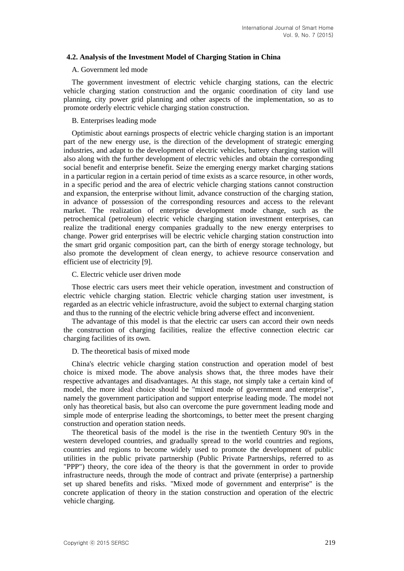#### **4.2. Analysis of the Investment Model of Charging Station in China**

#### A. Government led mode

The government investment of electric vehicle charging stations, can the electric vehicle charging station construction and the organic coordination of city land use planning, city power grid planning and other aspects of the implementation, so as to promote orderly electric vehicle charging station construction.

#### B. Enterprises leading mode

Optimistic about earnings prospects of electric vehicle charging station is an important part of the new energy use, is the direction of the development of strategic emerging industries, and adapt to the development of electric vehicles, battery charging station will also along with the further development of electric vehicles and obtain the corresponding social benefit and enterprise benefit. Seize the emerging energy market charging stations in a particular region in a certain period of time exists as a scarce resource, in other words, in a specific period and the area of electric vehicle charging stations cannot construction and expansion, the enterprise without limit, advance construction of the charging station, in advance of possession of the corresponding resources and access to the relevant market. The realization of enterprise development mode change, such as the petrochemical (petroleum) electric vehicle charging station investment enterprises, can realize the traditional energy companies gradually to the new energy enterprises to change. Power grid enterprises will be electric vehicle charging station construction into the smart grid organic composition part, can the birth of energy storage technology, but also promote the development of clean energy, to achieve resource conservation and efficient use of electricity [9].

#### C. Electric vehicle user driven mode

Those electric cars users meet their vehicle operation, investment and construction of electric vehicle charging station. Electric vehicle charging station user investment, is regarded as an electric vehicle infrastructure, avoid the subject to external charging station and thus to the running of the electric vehicle bring adverse effect and inconvenient.

The advantage of this model is that the electric car users can accord their own needs the construction of charging facilities, realize the effective connection electric car charging facilities of its own.

#### D. The theoretical basis of mixed mode

China's electric vehicle charging station construction and operation model of best choice is mixed mode. The above analysis shows that, the three modes have their respective advantages and disadvantages. At this stage, not simply take a certain kind of model, the more ideal choice should be "mixed mode of government and enterprise", namely the government participation and support enterprise leading mode. The model not only has theoretical basis, but also can overcome the pure government leading mode and simple mode of enterprise leading the shortcomings, to better meet the present charging construction and operation station needs.

The theoretical basis of the model is the rise in the twentieth Century 90's in the western developed countries, and gradually spread to the world countries and regions, countries and regions to become widely used to promote the development of public utilities in the public private partnership (Public Private Partnerships, referred to as "PPP") theory, the core idea of the theory is that the government in order to provide infrastructure needs, through the mode of contract and private (enterprise) a partnership set up shared benefits and risks. "Mixed mode of government and enterprise" is the concrete application of theory in the station construction and operation of the electric vehicle charging.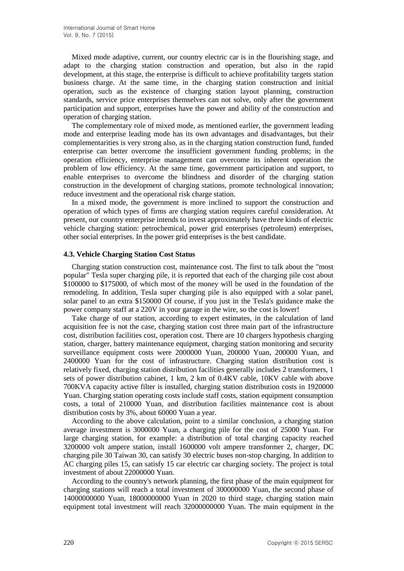Mixed mode adaptive, current, our country electric car is in the flourishing stage, and adapt to the charging station construction and operation, but also in the rapid development, at this stage, the enterprise is difficult to achieve profitability targets station business charge. At the same time, in the charging station construction and initial operation, such as the existence of charging station layout planning, construction standards, service price enterprises themselves can not solve, only after the government participation and support, enterprises have the power and ability of the construction and operation of charging station.

The complementary role of mixed mode, as mentioned earlier, the government leading mode and enterprise leading mode has its own advantages and disadvantages, but their complementarities is very strong also, as in the charging station construction fund, funded enterprise can better overcome the insufficient government funding problems; in the operation efficiency, enterprise management can overcome its inherent operation the problem of low efficiency. At the same time, government participation and support, to enable enterprises to overcome the blindness and disorder of the charging station construction in the development of charging stations, promote technological innovation; reduce investment and the operational risk charge station.

In a mixed mode, the government is more inclined to support the construction and operation of which types of firms are charging station requires careful consideration. At present, our country enterprise intends to invest approximately have three kinds of electric vehicle charging station: petrochemical, power grid enterprises (petroleum) enterprises, other social enterprises. In the power grid enterprises is the best candidate.

#### **4.3. Vehicle Charging Station Cost Status**

Charging station construction cost, maintenance cost. The first to talk about the "most popular" Tesla super charging pile, it is reported that each of the charging pile cost about \$100000 to \$175000, of which most of the money will be used in the foundation of the remodeling. In addition, Tesla super charging pile is also equipped with a solar panel, solar panel to an extra \$150000 Of course, if you just in the Tesla's guidance make the power company staff at a 220V in your garage in the wire, so the cost is lower!

Take charge of our station, according to expert estimates, in the calculation of land acquisition fee is not the case, charging station cost three main part of the infrastructure cost, distribution facilities cost, operation cost. There are 10 chargers hypothesis charging station, charger, battery maintenance equipment, charging station monitoring and security surveillance equipment costs were 2000000 Yuan, 200000 Yuan, 200000 Yuan, and 2400000 Yuan for the cost of infrastructure. Charging station distribution cost is relatively fixed, charging station distribution facilities generally includes 2 transformers, 1 sets of power distribution cabinet, 1 km, 2 km of 0.4KV cable, 10KV cable with above 700KVA capacity active filter is installed, charging station distribution costs in 1920000 Yuan. Charging station operating costs include staff costs, station equipment consumption costs, a total of 210000 Yuan, and distribution facilities maintenance cost is about distribution costs by 3%, about 60000 Yuan a year.

According to the above calculation, point to a similar conclusion, a charging station average investment is 3000000 Yuan, a charging pile for the cost of 25000 Yuan. For large charging station, for example: a distribution of total charging capacity reached 3200000 volt ampere station, install 1600000 volt ampere transformer 2, charger, DC charging pile 30 Taiwan 30, can satisfy 30 electric buses non-stop charging. In addition to AC charging piles 15, can satisfy 15 car electric car charging society. The project is total investment of about 22000000 Yuan.

According to the country's network planning, the first phase of the main equipment for charging stations will reach a total investment of 300000000 Yuan, the second phase of 14000000000 Yuan, 18000000000 Yuan in 2020 to third stage, charging station main equipment total investment will reach 32000000000 Yuan. The main equipment in the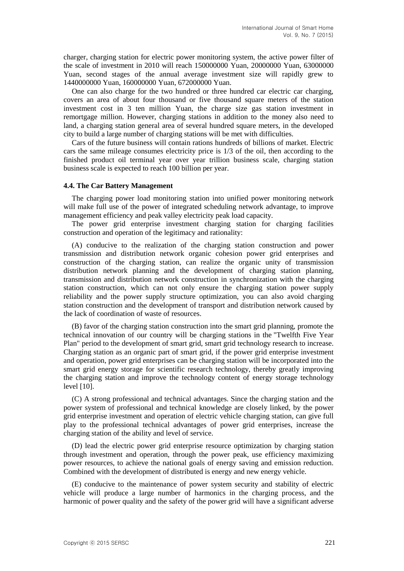charger, charging station for electric power monitoring system, the active power filter of the scale of investment in 2010 will reach 150000000 Yuan, 20000000 Yuan, 63000000 Yuan, second stages of the annual average investment size will rapidly grew to 1440000000 Yuan, 160000000 Yuan, 672000000 Yuan.

One can also charge for the two hundred or three hundred car electric car charging, covers an area of about four thousand or five thousand square meters of the station investment cost in 3 ten million Yuan, the charge size gas station investment in remortgage million. However, charging stations in addition to the money also need to land, a charging station general area of several hundred square meters, in the developed city to build a large number of charging stations will be met with difficulties.

Cars of the future business will contain rations hundreds of billions of market. Electric cars the same mileage consumes electricity price is 1/3 of the oil, then according to the finished product oil terminal year over year trillion business scale, charging station business scale is expected to reach 100 billion per year.

#### **4.4. The Car Battery Management**

The charging power load monitoring station into unified power monitoring network will make full use of the power of integrated scheduling network advantage, to improve management efficiency and peak valley electricity peak load capacity.

The power grid enterprise investment charging station for charging facilities construction and operation of the legitimacy and rationality:

(A) conducive to the realization of the charging station construction and power transmission and distribution network organic cohesion power grid enterprises and construction of the charging station, can realize the organic unity of transmission distribution network planning and the development of charging station planning, transmission and distribution network construction in synchronization with the charging station construction, which can not only ensure the charging station power supply reliability and the power supply structure optimization, you can also avoid charging station construction and the development of transport and distribution network caused by the lack of coordination of waste of resources.

(B) favor of the charging station construction into the smart grid planning, promote the technical innovation of our country will be charging stations in the "Twelfth Five Year Plan" period to the development of smart grid, smart grid technology research to increase. Charging station as an organic part of smart grid, if the power grid enterprise investment and operation, power grid enterprises can be charging station will be incorporated into the smart grid energy storage for scientific research technology, thereby greatly improving the charging station and improve the technology content of energy storage technology level [10].

(C) A strong professional and technical advantages. Since the charging station and the power system of professional and technical knowledge are closely linked, by the power grid enterprise investment and operation of electric vehicle charging station, can give full play to the professional technical advantages of power grid enterprises, increase the charging station of the ability and level of service.

(D) lead the electric power grid enterprise resource optimization by charging station through investment and operation, through the power peak, use efficiency maximizing power resources, to achieve the national goals of energy saving and emission reduction. Combined with the development of distributed is energy and new energy vehicle.

(E) conducive to the maintenance of power system security and stability of electric vehicle will produce a large number of harmonics in the charging process, and the harmonic of power quality and the safety of the power grid will have a significant adverse